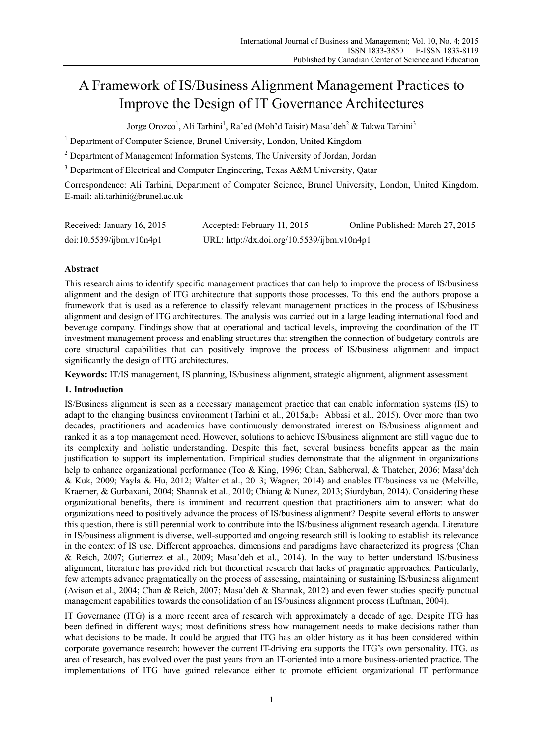# A Framework of IS/Business Alignment Management Practices to Improve the Design of IT Governance Architectures

Jorge Orozco<sup>1</sup>, Ali Tarhini<sup>1</sup>, Ra'ed (Moh'd Taisir) Masa'deh<sup>2</sup> & Takwa Tarhini<sup>3</sup>

<sup>1</sup> Department of Computer Science, Brunel University, London, United Kingdom

 $2^{2}$  Department of Management Information Systems, The University of Jordan, Jordan

<sup>3</sup> Department of Electrical and Computer Engineering, Texas A&M University, Qatar

Correspondence: Ali Tarhini, Department of Computer Science, Brunel University, London, United Kingdom. E-mail: ali.tarhini@brunel.ac.uk

| Received: January 16, 2015 | Accepted: February 11, 2015                 | Online Published: March 27, 2015 |
|----------------------------|---------------------------------------------|----------------------------------|
| doi:10.5539/ijbm.v10n4p1   | URL: http://dx.doi.org/10.5539/ijbm.v10n4p1 |                                  |

# **Abstract**

This research aims to identify specific management practices that can help to improve the process of IS/business alignment and the design of ITG architecture that supports those processes. To this end the authors propose a framework that is used as a reference to classify relevant management practices in the process of IS/business alignment and design of ITG architectures. The analysis was carried out in a large leading international food and beverage company. Findings show that at operational and tactical levels, improving the coordination of the IT investment management process and enabling structures that strengthen the connection of budgetary controls are core structural capabilities that can positively improve the process of IS/business alignment and impact significantly the design of ITG architectures.

**Keywords:** IT/IS management, IS planning, IS/business alignment, strategic alignment, alignment assessment

# **1. Introduction**

IS/Business alignment is seen as a necessary management practice that can enable information systems (IS) to adapt to the changing business environment (Tarhini et al., 2015a,b; Abbasi et al., 2015). Over more than two decades, practitioners and academics have continuously demonstrated interest on IS/business alignment and ranked it as a top management need. However, solutions to achieve IS/business alignment are still vague due to its complexity and holistic understanding. Despite this fact, several business benefits appear as the main justification to support its implementation. Empirical studies demonstrate that the alignment in organizations help to enhance organizational performance (Teo & King, 1996; Chan, Sabherwal, & Thatcher, 2006; Masa'deh & Kuk, 2009; Yayla & Hu, 2012; Walter et al., 2013; Wagner, 2014) and enables IT/business value (Melville, Kraemer, & Gurbaxani, 2004; Shannak et al., 2010; Chiang & Nunez, 2013; Siurdyban, 2014). Considering these organizational benefits, there is imminent and recurrent question that practitioners aim to answer: what do organizations need to positively advance the process of IS/business alignment? Despite several efforts to answer this question, there is still perennial work to contribute into the IS/business alignment research agenda. Literature in IS/business alignment is diverse, well-supported and ongoing research still is looking to establish its relevance in the context of IS use. Different approaches, dimensions and paradigms have characterized its progress (Chan & Reich, 2007; Gutierrez et al., 2009; Masa'deh et al., 2014). In the way to better understand IS/business alignment, literature has provided rich but theoretical research that lacks of pragmatic approaches. Particularly, few attempts advance pragmatically on the process of assessing, maintaining or sustaining IS/business alignment (Avison et al., 2004; Chan & Reich, 2007; Masa'deh & Shannak, 2012) and even fewer studies specify punctual management capabilities towards the consolidation of an IS/business alignment process (Luftman, 2004).

IT Governance (ITG) is a more recent area of research with approximately a decade of age. Despite ITG has been defined in different ways; most definitions stress how management needs to make decisions rather than what decisions to be made. It could be argued that ITG has an older history as it has been considered within corporate governance research; however the current IT-driving era supports the ITG's own personality. ITG, as area of research, has evolved over the past years from an IT-oriented into a more business-oriented practice. The implementations of ITG have gained relevance either to promote efficient organizational IT performance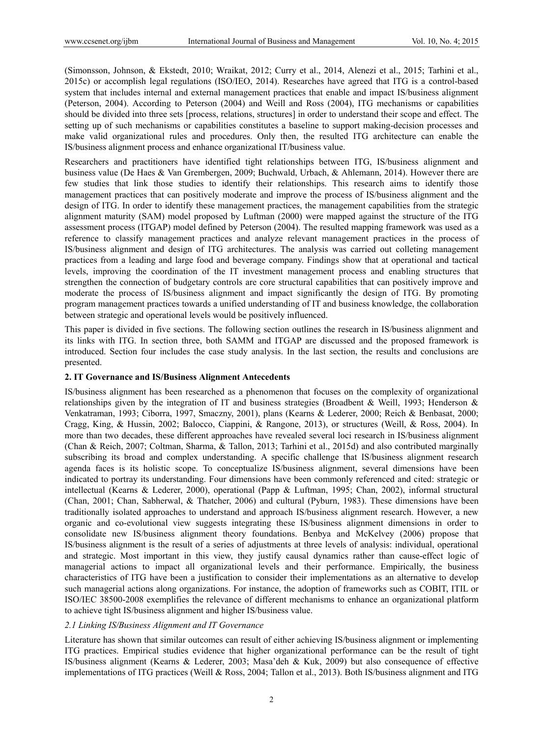(Simonsson, Johnson, & Ekstedt, 2010; Wraikat, 2012; Curry et al., 2014, Alenezi et al., 2015; Tarhini et al., 2015c) or accomplish legal regulations (ISO/IEO, 2014). Researches have agreed that ITG is a control-based system that includes internal and external management practices that enable and impact IS/business alignment (Peterson, 2004). According to Peterson (2004) and Weill and Ross (2004), ITG mechanisms or capabilities should be divided into three sets [process, relations, structures] in order to understand their scope and effect. The setting up of such mechanisms or capabilities constitutes a baseline to support making-decision processes and make valid organizational rules and procedures. Only then, the resulted ITG architecture can enable the IS/business alignment process and enhance organizational IT/business value.

Researchers and practitioners have identified tight relationships between ITG, IS/business alignment and business value (De Haes & Van Grembergen, 2009; Buchwald, Urbach, & Ahlemann, 2014). However there are few studies that link those studies to identify their relationships. This research aims to identify those management practices that can positively moderate and improve the process of IS/business alignment and the design of ITG. In order to identify these management practices, the management capabilities from the strategic alignment maturity (SAM) model proposed by Luftman (2000) were mapped against the structure of the ITG assessment process (ITGAP) model defined by Peterson (2004). The resulted mapping framework was used as a reference to classify management practices and analyze relevant management practices in the process of IS/business alignment and design of ITG architectures. The analysis was carried out colleting management practices from a leading and large food and beverage company. Findings show that at operational and tactical levels, improving the coordination of the IT investment management process and enabling structures that strengthen the connection of budgetary controls are core structural capabilities that can positively improve and moderate the process of IS/business alignment and impact significantly the design of ITG. By promoting program management practices towards a unified understanding of IT and business knowledge, the collaboration between strategic and operational levels would be positively influenced.

This paper is divided in five sections. The following section outlines the research in IS/business alignment and its links with ITG. In section three, both SAMM and ITGAP are discussed and the proposed framework is introduced. Section four includes the case study analysis. In the last section, the results and conclusions are presented.

#### **2. IT Governance and IS/Business Alignment Antecedents**

IS/business alignment has been researched as a phenomenon that focuses on the complexity of organizational relationships given by the integration of IT and business strategies (Broadbent & Weill, 1993; Henderson & Venkatraman, 1993; Ciborra, 1997, Smaczny, 2001), plans (Kearns & Lederer, 2000; Reich & Benbasat, 2000; Cragg, King, & Hussin, 2002; Balocco, Ciappini, & Rangone, 2013), or structures (Weill, & Ross, 2004). In more than two decades, these different approaches have revealed several loci research in IS/business alignment (Chan & Reich, 2007; Coltman, Sharma, & Tallon, 2013; Tarhini et al., 2015d) and also contributed marginally subscribing its broad and complex understanding. A specific challenge that IS/business alignment research agenda faces is its holistic scope. To conceptualize IS/business alignment, several dimensions have been indicated to portray its understanding. Four dimensions have been commonly referenced and cited: strategic or intellectual (Kearns & Lederer, 2000), operational (Papp & Luftman, 1995; Chan, 2002), informal structural (Chan, 2001; Chan, Sabherwal, & Thatcher, 2006) and cultural (Pyburn, 1983). These dimensions have been traditionally isolated approaches to understand and approach IS/business alignment research. However, a new organic and co-evolutional view suggests integrating these IS/business alignment dimensions in order to consolidate new IS/business alignment theory foundations. Benbya and McKelvey (2006) propose that IS/business alignment is the result of a series of adjustments at three levels of analysis: individual, operational and strategic. Most important in this view, they justify causal dynamics rather than cause-effect logic of managerial actions to impact all organizational levels and their performance. Empirically, the business characteristics of ITG have been a justification to consider their implementations as an alternative to develop such managerial actions along organizations. For instance, the adoption of frameworks such as COBIT, ITIL or ISO/IEC 38500-2008 exemplifies the relevance of different mechanisms to enhance an organizational platform to achieve tight IS/business alignment and higher IS/business value.

## *2.1 Linking IS/Business Alignment and IT Governance*

Literature has shown that similar outcomes can result of either achieving IS/business alignment or implementing ITG practices. Empirical studies evidence that higher organizational performance can be the result of tight IS/business alignment (Kearns & Lederer, 2003; Masa'deh & Kuk, 2009) but also consequence of effective implementations of ITG practices (Weill & Ross, 2004; Tallon et al., 2013). Both IS/business alignment and ITG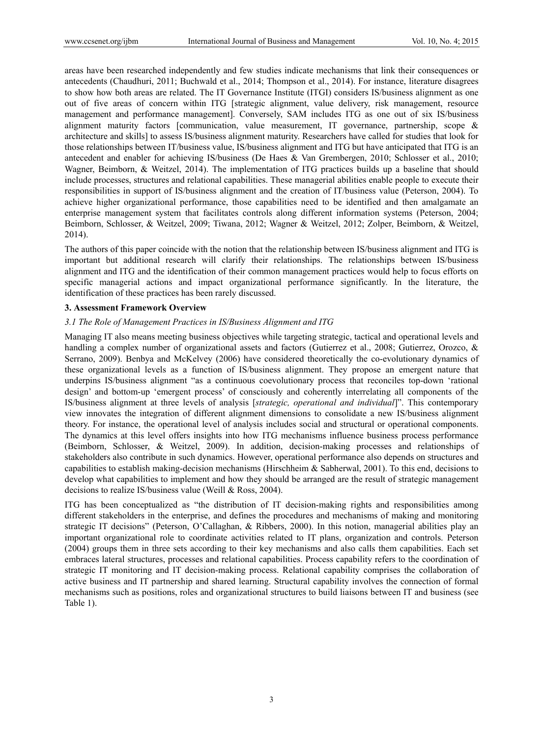areas have been researched independently and few studies indicate mechanisms that link their consequences or antecedents (Chaudhuri, 2011; Buchwald et al., 2014; Thompson et al., 2014). For instance, literature disagrees to show how both areas are related. The IT Governance Institute (ITGI) considers IS/business alignment as one out of five areas of concern within ITG [strategic alignment, value delivery, risk management, resource management and performance management]. Conversely, SAM includes ITG as one out of six IS/business alignment maturity factors [communication, value measurement, IT governance, partnership, scope & architecture and skills] to assess IS/business alignment maturity. Researchers have called for studies that look for those relationships between IT/business value, IS/business alignment and ITG but have anticipated that ITG is an antecedent and enabler for achieving IS/business (De Haes & Van Grembergen, 2010; Schlosser et al., 2010; Wagner, Beimborn, & Weitzel, 2014). The implementation of ITG practices builds up a baseline that should include processes, structures and relational capabilities. These managerial abilities enable people to execute their responsibilities in support of IS/business alignment and the creation of IT/business value (Peterson, 2004). To achieve higher organizational performance, those capabilities need to be identified and then amalgamate an enterprise management system that facilitates controls along different information systems (Peterson, 2004; Beimborn, Schlosser, & Weitzel, 2009; Tiwana, 2012; Wagner & Weitzel, 2012; Zolper, Beimborn, & Weitzel, 2014).

The authors of this paper coincide with the notion that the relationship between IS/business alignment and ITG is important but additional research will clarify their relationships. The relationships between IS/business alignment and ITG and the identification of their common management practices would help to focus efforts on specific managerial actions and impact organizational performance significantly. In the literature, the identification of these practices has been rarely discussed.

## **3. Assessment Framework Overview**

## *3.1 The Role of Management Practices in IS/Business Alignment and ITG*

Managing IT also means meeting business objectives while targeting strategic, tactical and operational levels and handling a complex number of organizational assets and factors (Gutierrez et al., 2008; Gutierrez, Orozco, & Serrano, 2009). Benbya and McKelvey (2006) have considered theoretically the co-evolutionary dynamics of these organizational levels as a function of IS/business alignment. They propose an emergent nature that underpins IS/business alignment "as a continuous coevolutionary process that reconciles top-down 'rational design' and bottom-up 'emergent process' of consciously and coherently interrelating all components of the IS/business alignment at three levels of analysis [*strategic, operational and individual*]". This contemporary view innovates the integration of different alignment dimensions to consolidate a new IS/business alignment theory. For instance, the operational level of analysis includes social and structural or operational components. The dynamics at this level offers insights into how ITG mechanisms influence business process performance (Beimborn, Schlosser, & Weitzel, 2009). In addition, decision-making processes and relationships of stakeholders also contribute in such dynamics. However, operational performance also depends on structures and capabilities to establish making-decision mechanisms (Hirschheim & Sabherwal, 2001). To this end, decisions to develop what capabilities to implement and how they should be arranged are the result of strategic management decisions to realize IS/business value (Weill & Ross, 2004).

ITG has been conceptualized as "the distribution of IT decision-making rights and responsibilities among different stakeholders in the enterprise, and defines the procedures and mechanisms of making and monitoring strategic IT decisions" (Peterson, O'Callaghan, & Ribbers, 2000). In this notion, managerial abilities play an important organizational role to coordinate activities related to IT plans, organization and controls. Peterson (2004) groups them in three sets according to their key mechanisms and also calls them capabilities. Each set embraces lateral structures, processes and relational capabilities. Process capability refers to the coordination of strategic IT monitoring and IT decision-making process. Relational capability comprises the collaboration of active business and IT partnership and shared learning. Structural capability involves the connection of formal mechanisms such as positions, roles and organizational structures to build liaisons between IT and business (see Table 1).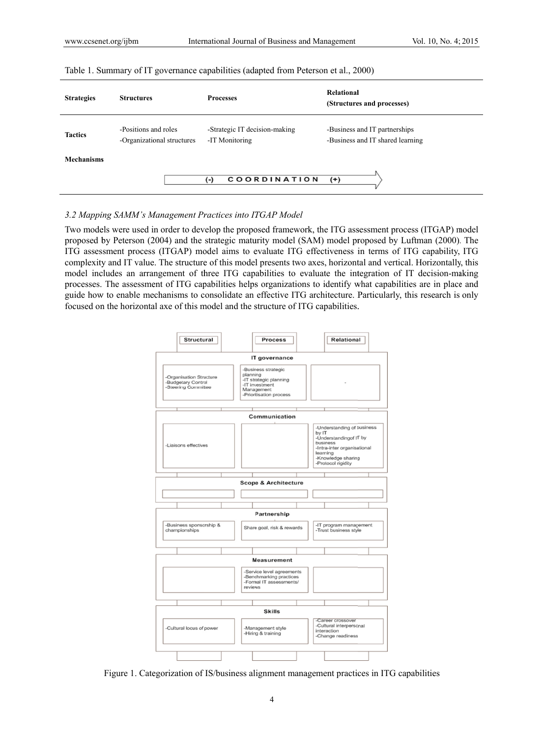| <b>Strategies</b> | <b>Structures</b>                                  | <b>Processes</b>                                | Relational<br>(Structures and processes)                          |
|-------------------|----------------------------------------------------|-------------------------------------------------|-------------------------------------------------------------------|
| <b>Tactics</b>    | -Positions and roles<br>-Organizational structures | -Strategic IT decision-making<br>-IT Monitoring | -Business and IT partnerships<br>-Business and IT shared learning |
| <b>Mechanisms</b> |                                                    | COORDINATION<br>$(\textnormal{-})$              | $(+)$                                                             |

#### Table 1. Summary of IT governance capabilities (adapted from Peterson et al., 2000)

## 3.2 Mapping SAMM's Management Practices into ITGAP Model

Two models were used in order to develop the proposed framework, the ITG assessment process (ITGAP) model proposed by Peterson (2004) and the strategic maturity model (SAM) model proposed by Luftman (2000). The ITG assessment process (ITGAP) model aims to evaluate ITG effectiveness in terms of ITG capability, ITG complexity and IT value. The structure of this model presents two axes, horizontal and vertical. Horizontally, this model includes an arrangement of three ITG capabilities to evaluate the integration of IT decision-making processes. The assessment of ITG capabilities helps organizations to identify what capabilities are in place and guide how to enable mechanisms to consolidate an effective ITG architecture. Particularly, this research is only focused on the horizontal axe of this model and the structure of ITG capabilities.



Figure 1. Categorization of IS/business alignment management practices in ITG capabilities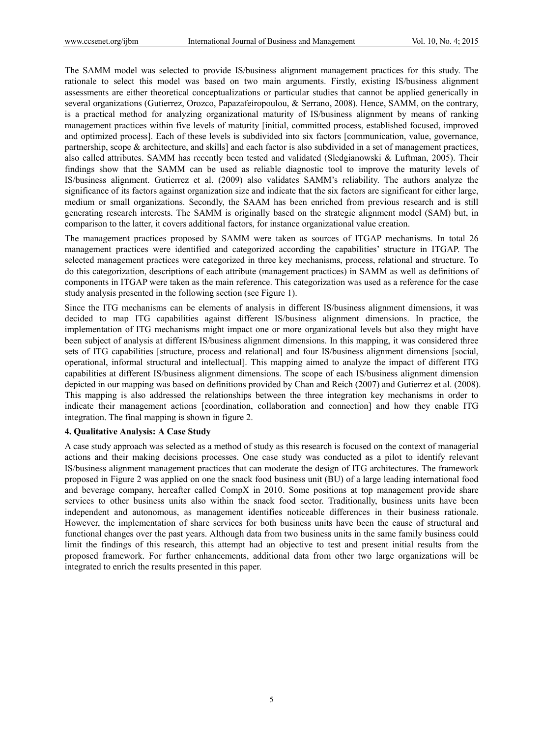The SAMM model was selected to provide IS/business alignment management practices for this study. The rationale to select this model was based on two main arguments. Firstly, existing IS/business alignment assessments are either theoretical conceptualizations or particular studies that cannot be applied generically in several organizations (Gutierrez, Orozco, Papazafeiropoulou, & Serrano, 2008). Hence, SAMM, on the contrary, is a practical method for analyzing organizational maturity of IS/business alignment by means of ranking management practices within five levels of maturity [initial, committed process, established focused, improved and optimized process]. Each of these levels is subdivided into six factors [communication, value, governance, partnership, scope & architecture, and skills] and each factor is also subdivided in a set of management practices, also called attributes. SAMM has recently been tested and validated (Sledgianowski & Luftman, 2005). Their findings show that the SAMM can be used as reliable diagnostic tool to improve the maturity levels of IS/business alignment. Gutierrez et al. (2009) also validates SAMM's reliability. The authors analyze the significance of its factors against organization size and indicate that the six factors are significant for either large, medium or small organizations. Secondly, the SAAM has been enriched from previous research and is still generating research interests. The SAMM is originally based on the strategic alignment model (SAM) but, in comparison to the latter, it covers additional factors, for instance organizational value creation.

The management practices proposed by SAMM were taken as sources of ITGAP mechanisms. In total 26 management practices were identified and categorized according the capabilities' structure in ITGAP. The selected management practices were categorized in three key mechanisms, process, relational and structure. To do this categorization, descriptions of each attribute (management practices) in SAMM as well as definitions of components in ITGAP were taken as the main reference. This categorization was used as a reference for the case study analysis presented in the following section (see Figure 1).

Since the ITG mechanisms can be elements of analysis in different IS/business alignment dimensions, it was decided to map ITG capabilities against different IS/business alignment dimensions. In practice, the implementation of ITG mechanisms might impact one or more organizational levels but also they might have been subject of analysis at different IS/business alignment dimensions. In this mapping, it was considered three sets of ITG capabilities [structure, process and relational] and four IS/business alignment dimensions [social, operational, informal structural and intellectual]. This mapping aimed to analyze the impact of different ITG capabilities at different IS/business alignment dimensions. The scope of each IS/business alignment dimension depicted in our mapping was based on definitions provided by Chan and Reich (2007) and Gutierrez et al. (2008). This mapping is also addressed the relationships between the three integration key mechanisms in order to indicate their management actions [coordination, collaboration and connection] and how they enable ITG integration. The final mapping is shown in figure 2.

#### **4. Qualitative Analysis: A Case Study**

A case study approach was selected as a method of study as this research is focused on the context of managerial actions and their making decisions processes. One case study was conducted as a pilot to identify relevant IS/business alignment management practices that can moderate the design of ITG architectures. The framework proposed in Figure 2 was applied on one the snack food business unit (BU) of a large leading international food and beverage company, hereafter called CompX in 2010. Some positions at top management provide share services to other business units also within the snack food sector. Traditionally, business units have been independent and autonomous, as management identifies noticeable differences in their business rationale. However, the implementation of share services for both business units have been the cause of structural and functional changes over the past years. Although data from two business units in the same family business could limit the findings of this research, this attempt had an objective to test and present initial results from the proposed framework. For further enhancements, additional data from other two large organizations will be integrated to enrich the results presented in this paper.

5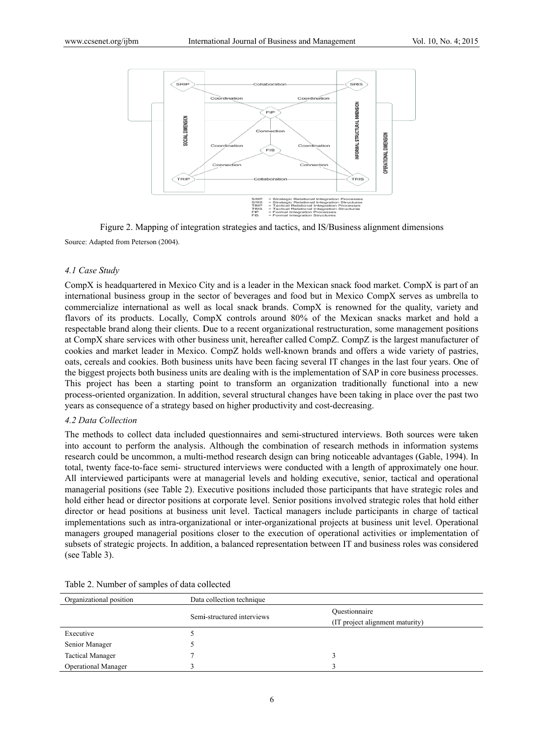

Figure 2. Mapping of integration strategies and tactics, and IS/Business alignment dimensions Source: Adapted from Peterson (2004).

## *4.1 Case S Study*

CompX is headquartered in Mexico City and is a leader in the Mexican snack food market. CompX is part of an international business group in the sector of beverages and food but in Mexico CompX serves as umbrella to commercialize international as well as local snack brands. CompX is renowned for the quality, variety and flavors of its products. Locally, CompX controls around 80% of the Mexican snacks market and hold a respectable brand along their clients. Due to a recent organizational restructuration, some management positions at CompX share services with other business unit, hereafter called CompZ. CompZ is the largest manufacturer of cookies and market leader in Mexico. CompZ holds well-known brands and offers a wide variety of pastries, oats, cereals and cookies. Both business units have been facing several IT changes in the last four years. One of the biggest projects both business units are dealing with is the implementation of SAP in core business processes. This project has been a starting point to transform an organization traditionally functional into a new process-oriented organization. In addition, several structural changes have been taking in place over the past two years as consequence of a strategy based on higher productivity and cost-decreasing.

#### *4.2 Data C Collection*

The methods to collect data included questionnaires and semi-structured interviews. Both sources were taken into account to perform the analysis. Although the combination of research methods in information systems research could be uncommon, a multi-method research design can bring noticeable advantages (Gable, 1994). In total, twenty face-to-face semi- structured interviews were conducted with a length of approximately one hour. All interviewed participants were at managerial levels and holding executive, senior, tactical and operational managerial positions (see Table 2). Executive positions included those participants that have strategic roles and hold either head or director positions at corporate level. Senior positions involved strategic roles that hold either director or head positions at business unit level. Tactical managers include participants in charge of tactical implementations such as intra-organizational or inter-organizational projects at business unit level. Operational managers grouped managerial positions closer to the execution of operational activities or implementation of subsets of strategic projects. In addition, a balanced representation between IT and business roles was considered (see Table 3).

| Organizational position    | Data collection technique  |                                 |
|----------------------------|----------------------------|---------------------------------|
|                            |                            | Questionnaire                   |
|                            | Semi-structured interviews | (IT project alignment maturity) |
| Executive                  |                            |                                 |
| Senior Manager             |                            |                                 |
| <b>Tactical Manager</b>    |                            |                                 |
| <b>Operational Manager</b> |                            |                                 |

| Table 2. Number of samples of data collected |  |  |
|----------------------------------------------|--|--|
|----------------------------------------------|--|--|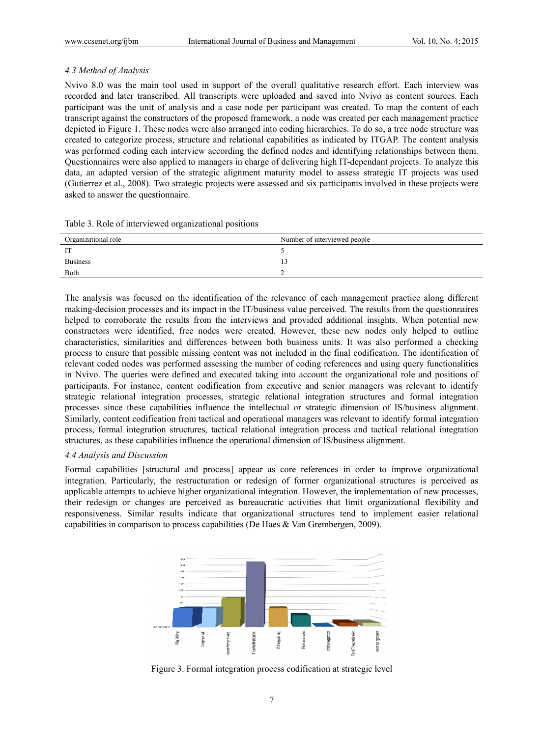## 4.3 Method of Analysis

Nvivo 8.0 was the main tool used in support of the overall qualitative research effort. Each interview was recorded and later transcribed. All transcripts were uploaded and saved into Nvivo as content sources. Each participant was the unit of analysis and a case node per participant was created. To map the content of each transcript against the constructors of the proposed framework, a node was created per each management practice depicted in Figure 1. These nodes were also arranged into coding hierarchies. To do so, a tree node structure was created to categorize process, structure and relational capabilities as indicated by ITGAP. The content analysis was performed coding each interview according the defined nodes and identifying relationships between them. Questionnaires were also applied to managers in charge of delivering high IT-dependant projects. To analyze this data, an adapted version of the strategic alignment maturity model to assess strategic IT projects was used (Gutierrez et al., 2008). Two strategic projects were assessed and six participants involved in these projects were asked to answer the questionnaire.

| Organizational role | Number of interviewed people |
|---------------------|------------------------------|
| IT                  |                              |
| <b>Business</b>     |                              |
| Both                |                              |

Table 3. Role of interviewed organizational positions

The analysis was focused on the identification of the relevance of each management practice along different making-decision processes and its impact in the IT/business value perceived. The results from the questionnaires helped to corroborate the results from the interviews and provided additional insights. When potential new constructors were identified, free nodes were created. However, these new nodes only helped to outline characteristics, similarities and differences between both business units. It was also performed a checking process to ensure that possible missing content was not included in the final codification. The identification of relevant coded nodes was performed assessing the number of coding references and using query functionalities in Nvivo. The queries were defined and executed taking into account the organizational role and positions of participants. For instance, content codification from executive and senior managers was relevant to identify strategic relational integration processes, strategic relational integration structures and formal integration processes since these capabilities influence the intellectual or strategic dimension of IS/business alignment. Similarly, content codification from tactical and operational managers was relevant to identify formal integration process, formal integration structures, tactical relational integration process and tactical relational integration structures, as these capabilities influence the operational dimension of IS/business alignment.

## 4.4 Analysis and Discussion

Formal capabilities [structural and process] appear as core references in order to improve organizational integration. Particularly, the restructuration or redesign of former organizational structures is perceived as applicable attempts to achieve higher organizational integration. However, the implementation of new processes, their redesign or changes are perceived as bureaucratic activities that limit organizational flexibility and responsiveness. Similar results indicate that organizational structures tend to implement easier relational capabilities in comparison to process capabilities (De Haes & Van Grembergen, 2009).



Figure 3. Formal integration process codification at strategic level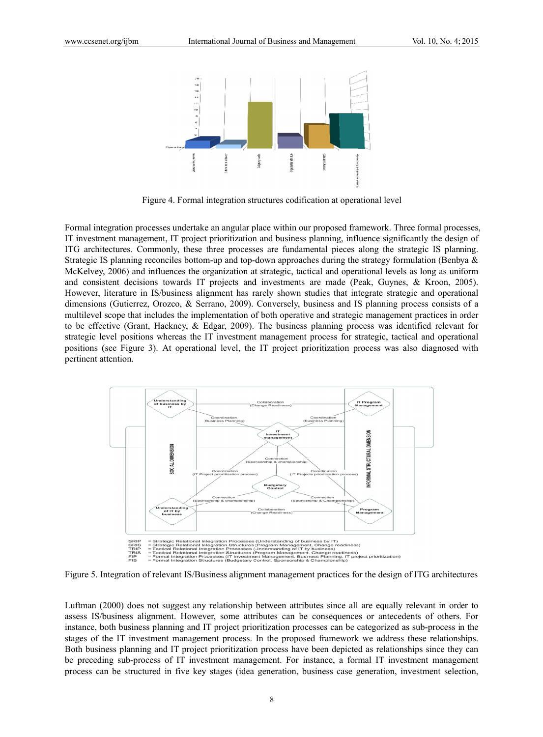

Figure 4. Formal integration structures codification at operational level

Formal integration processes undertake an angular place within our proposed framework. Three formal processes, IT investment management. IT project prioritization and business planning, influence significantly the design of ITG architectures. Commonly, these three processes are fundamental pieces along the strategic IS planning. Strategic IS planning reconciles bottom-up and top-down approaches during the strategy formulation (Benbya  $\&$ McKelvey, 2006) and influences the organization at strategic, tactical and operational levels as long as uniform and consistent decisions towards IT projects and investments are made (Peak, Guynes, & Kroon, 2005). However, literature in IS/business alignment has rarely shown studies that integrate strategic and operational dimensions (Gutierrez, Orozco, & Serrano, 2009). Conversely, business and IS planning process consists of a multilevel scope that includes the implementation of both operative and strategic management practices in order to be effective (Grant, Hackney, & Edgar, 2009). The business planning process was identified relevant for strategic level positions whereas the IT investment management process for strategic, tactical and operational positions (see Figure 3). At operational level, the IT project prioritization process was also diagnosed with pertinent attention.



Figure 5. Integration of relevant IS/Business alignment management practices for the design of ITG architectures

Luftman (2000) does not suggest any relationship between attributes since all are equally relevant in order to assess IS/business alignment. However, some attributes can be consequences or antecedents of others. For instance, both business planning and IT project prioritization processes can be categorized as sub-process in the stages of the IT investment management process. In the proposed framework we address these relationships. Both business planning and IT project prioritization process have been depicted as relationships since they can be preceding sub-process of IT investment management. For instance, a formal IT investment management process can be structured in five key stages (idea generation, business case generation, investment selection,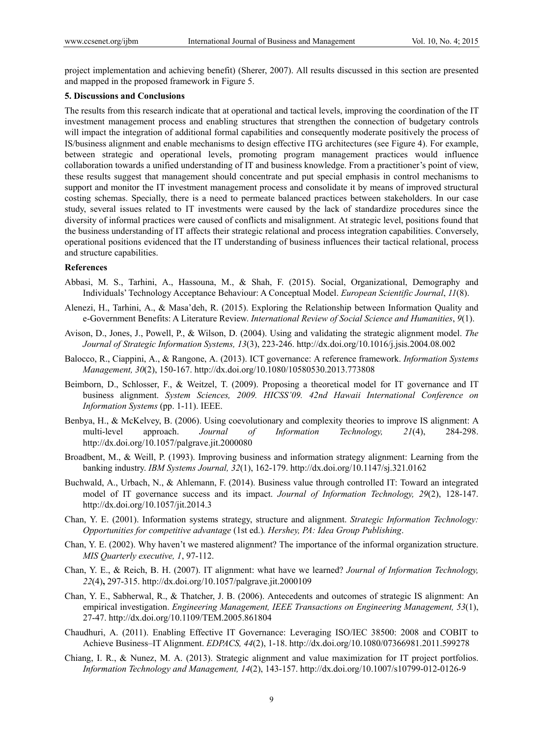project implementation and achieving benefit) (Sherer, 2007). All results discussed in this section are presented and mapped in the proposed framework in Figure 5.

## **5. Discussions and Conclusions**

The results from this research indicate that at operational and tactical levels, improving the coordination of the IT investment management process and enabling structures that strengthen the connection of budgetary controls will impact the integration of additional formal capabilities and consequently moderate positively the process of IS/business alignment and enable mechanisms to design effective ITG architectures (see Figure 4). For example, between strategic and operational levels, promoting program management practices would influence collaboration towards a unified understanding of IT and business knowledge. From a practitioner's point of view, these results suggest that management should concentrate and put special emphasis in control mechanisms to support and monitor the IT investment management process and consolidate it by means of improved structural costing schemas. Specially, there is a need to permeate balanced practices between stakeholders. In our case study, several issues related to IT investments were caused by the lack of standardize procedures since the diversity of informal practices were caused of conflicts and misalignment. At strategic level, positions found that the business understanding of IT affects their strategic relational and process integration capabilities. Conversely, operational positions evidenced that the IT understanding of business influences their tactical relational, process and structure capabilities.

### **References**

- Abbasi, M. S., Tarhini, A., Hassouna, M., & Shah, F. (2015). Social, Organizational, Demography and Individuals' Technology Acceptance Behaviour: A Conceptual Model. *European Scientific Journal*, *11*(8).
- Alenezi, H., Tarhini, A., & Masa'deh, R. (2015). Exploring the Relationship between Information Quality and e-Government Benefits: A Literature Review. *International Review of Social Science and Humanities*, *9*(1).
- Avison, D., Jones, J., Powell, P., & Wilson, D. (2004). Using and validating the strategic alignment model. *The Journal of Strategic Information Systems, 13*(3), 223-246. http://dx.doi.org/10.1016/j.jsis.2004.08.002
- Balocco, R., Ciappini, A., & Rangone, A. (2013). ICT governance: A reference framework. *Information Systems Management, 30*(2), 150-167. http://dx.doi.org/10.1080/10580530.2013.773808
- Beimborn, D., Schlosser, F., & Weitzel, T. (2009). Proposing a theoretical model for IT governance and IT business alignment. *System Sciences, 2009. HICSS'09. 42nd Hawaii International Conference on Information Systems* (pp. 1-11). IEEE.
- Benbya, H., & McKelvey, B. (2006). Using coevolutionary and complexity theories to improve IS alignment: A multi-level approach. *Journal of Information Technology, 21*(4), 284-298. http://dx.doi.org/10.1057/palgrave.jit.2000080
- Broadbent, M., & Weill, P. (1993). Improving business and information strategy alignment: Learning from the banking industry. *IBM Systems Journal, 32*(1), 162-179. http://dx.doi.org/10.1147/sj.321.0162
- Buchwald, A., Urbach, N., & Ahlemann, F. (2014). Business value through controlled IT: Toward an integrated model of IT governance success and its impact. *Journal of Information Technology, 29*(2), 128-147. http://dx.doi.org/10.1057/jit.2014.3
- Chan, Y. E. (2001). Information systems strategy, structure and alignment. *Strategic Information Technology: Opportunities for competitive advantage* (1st ed.)*. Hershey, PA: Idea Group Publishing*.
- Chan, Y. E. (2002). Why haven't we mastered alignment? The importance of the informal organization structure. *MIS Quarterly executive, 1*, 97-112.
- Chan, Y. E., & Reich, B. H. (2007). IT alignment: what have we learned? *Journal of Information Technology, 22*(4)**,** 297-315. http://dx.doi.org/10.1057/palgrave.jit.2000109
- Chan, Y. E., Sabherwal, R., & Thatcher, J. B. (2006). Antecedents and outcomes of strategic IS alignment: An empirical investigation. *Engineering Management, IEEE Transactions on Engineering Management, 53*(1), 27-47. http://dx.doi.org/10.1109/TEM.2005.861804
- Chaudhuri, A. (2011). Enabling Effective IT Governance: Leveraging ISO/IEC 38500: 2008 and COBIT to Achieve Business–IT Alignment. *EDPACS, 44*(2), 1-18. http://dx.doi.org/10.1080/07366981.2011.599278
- Chiang, I. R., & Nunez, M. A. (2013). Strategic alignment and value maximization for IT project portfolios. *Information Technology and Management, 14*(2), 143-157. http://dx.doi.org/10.1007/s10799-012-0126-9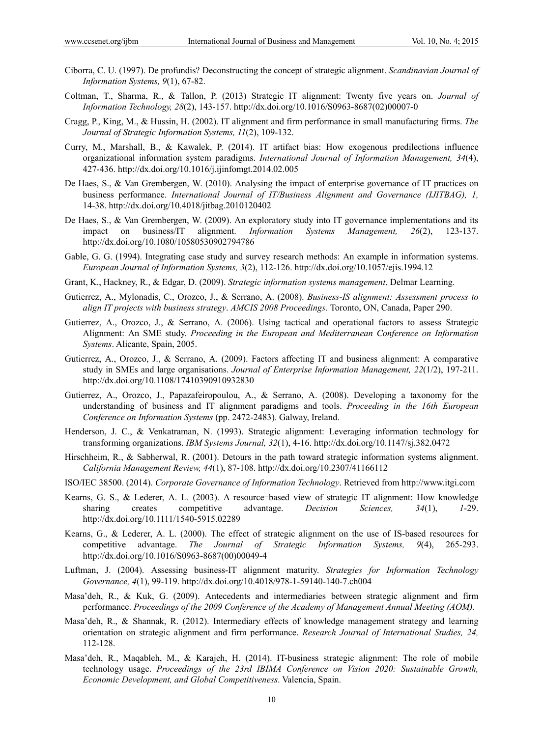- Ciborra, C. U. (1997). De profundis? Deconstructing the concept of strategic alignment. *Scandinavian Journal of Information Systems, 9*(1), 67-82.
- Coltman, T., Sharma, R., & Tallon, P. (2013) Strategic IT alignment: Twenty five years on. *Journal of Information Technology, 28*(2), 143-157. http://dx.doi.org/10.1016/S0963-8687(02)00007-0
- Cragg, P., King, M., & Hussin, H. (2002). IT alignment and firm performance in small manufacturing firms. *The Journal of Strategic Information Systems, 11*(2), 109-132.
- Curry, M., Marshall, B., & Kawalek, P. (2014). IT artifact bias: How exogenous predilections influence organizational information system paradigms. *International Journal of Information Management, 34*(4), 427-436. http://dx.doi.org/10.1016/j.ijinfomgt.2014.02.005
- De Haes, S., & Van Grembergen, W. (2010). Analysing the impact of enterprise governance of IT practices on business performance. *International Journal of IT/Business Alignment and Governance (IJITBAG), 1,*  14-38. http://dx.doi.org/10.4018/jitbag.2010120402
- De Haes, S., & Van Grembergen, W. (2009). An exploratory study into IT governance implementations and its impact on business/IT alignment. *Information Systems Management, 26*(2), 123-137. http://dx.doi.org/10.1080/10580530902794786
- Gable, G. G. (1994). Integrating case study and survey research methods: An example in information systems. *European Journal of Information Systems, 3*(2), 112-126. http://dx.doi.org/10.1057/ejis.1994.12
- Grant, K., Hackney, R., & Edgar, D. (2009). *Strategic information systems management*. Delmar Learning.
- Gutierrez, A., Mylonadis, C., Orozco, J., & Serrano, A. (2008). *Business-IS alignment: Assessment process to align IT projects with business strategy*. *AMCIS 2008 Proceedings.* Toronto, ON, Canada, Paper 290.
- Gutierrez, A., Orozco, J., & Serrano, A. (2006). Using tactical and operational factors to assess Strategic Alignment: An SME study. *Proceeding in the European and Mediterranean Conference on Information Systems*. Alicante, Spain, 2005.
- Gutierrez, A., Orozco, J., & Serrano, A. (2009). Factors affecting IT and business alignment: A comparative study in SMEs and large organisations. *Journal of Enterprise Information Management, 22*(1/2), 197-211. http://dx.doi.org/10.1108/17410390910932830
- Gutierrez, A., Orozco, J., Papazafeiropoulou, A., & Serrano, A. (2008). Developing a taxonomy for the understanding of business and IT alignment paradigms and tools. *Proceeding in the 16th European Conference on Information Systems* (pp. 2472-2483). Galway, Ireland.
- Henderson, J. C., & Venkatraman, N. (1993). Strategic alignment: Leveraging information technology for transforming organizations. *IBM Systems Journal, 32*(1), 4-16. http://dx.doi.org/10.1147/sj.382.0472
- Hirschheim, R., & Sabherwal, R. (2001). Detours in the path toward strategic information systems alignment. *California Management Review, 44*(1), 87-108. http://dx.doi.org/10.2307/41166112
- ISO/IEC 38500. (2014). *Corporate Governance of Information Technology*. Retrieved from http://www.itgi.com
- Kearns, G. S., & Lederer, A. L. (2003). A resource-based view of strategic IT alignment: How knowledge sharing creates competitive advantage. *Decision Sciences, 34*(1), *1*-29. http://dx.doi.org/10.1111/1540-5915.02289
- Kearns, G., & Lederer, A. L. (2000). The effect of strategic alignment on the use of IS-based resources for competitive advantage. *The Journal of Strategic Information Systems, 9*(4), 265-293. http://dx.doi.org/10.1016/S0963-8687(00)00049-4
- Luftman, J. (2004). Assessing business-IT alignment maturity. *Strategies for Information Technology Governance, 4*(1), 99-119. http://dx.doi.org/10.4018/978-1-59140-140-7.ch004
- Masa'deh, R., & Kuk, G. (2009). Antecedents and intermediaries between strategic alignment and firm performance. *Proceedings of the 2009 Conference of the Academy of Management Annual Meeting (AOM).*
- Masa'deh, R., & Shannak, R. (2012). Intermediary effects of knowledge management strategy and learning orientation on strategic alignment and firm performance. *Research Journal of International Studies, 24,* 112-128.
- Masa'deh, R., Maqableh, M., & Karajeh, H. (2014). IT-business strategic alignment: The role of mobile technology usage. *Proceedings of the 23rd IBIMA Conference on Vision 2020: Sustainable Growth, Economic Development, and Global Competitiveness*. Valencia, Spain.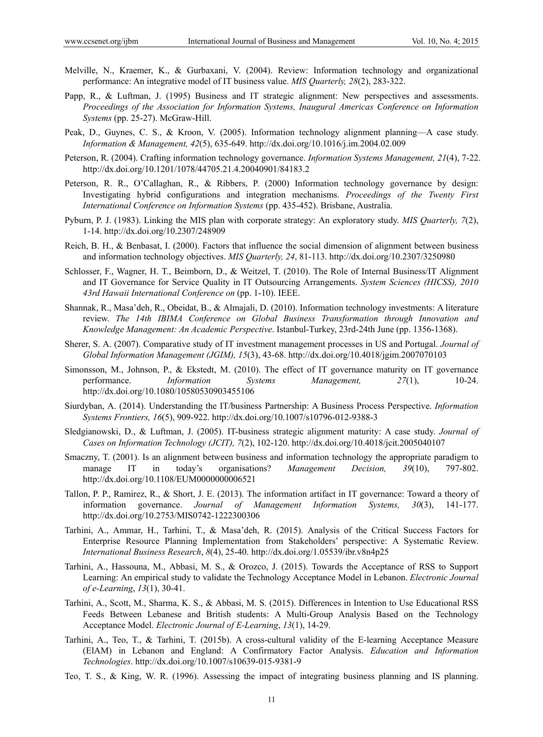- Melville, N., Kraemer, K., & Gurbaxani, V. (2004). Review: Information technology and organizational performance: An integrative model of IT business value. *MIS Quarterly, 28*(2), 283-322.
- Papp, R., & Luftman, J. (1995) Business and IT strategic alignment: New perspectives and assessments. *Proceedings of the Association for Information Systems, Inaugural Americas Conference on Information Systems* (pp. 25-27). McGraw-Hill.
- Peak, D., Guynes, C. S., & Kroon, V. (2005). Information technology alignment planning—A case study. *Information & Management, 42*(5), 635-649. http://dx.doi.org/10.1016/j.im.2004.02.009
- Peterson, R. (2004). Crafting information technology governance. *Information Systems Management, 21*(4), 7-22. http://dx.doi.org/10.1201/1078/44705.21.4.20040901/84183.2
- Peterson, R. R., O'Callaghan, R., & Ribbers, P. (2000) Information technology governance by design: Investigating hybrid configurations and integration mechanisms. *Proceedings of the Twenty First International Conference on Information Systems* (pp. 435-452). Brisbane, Australia.
- Pyburn, P. J. (1983). Linking the MIS plan with corporate strategy: An exploratory study. *MIS Quarterly, 7*(2), 1-14. http://dx.doi.org/10.2307/248909
- Reich, B. H., & Benbasat, I. (2000). Factors that influence the social dimension of alignment between business and information technology objectives. *MIS Quarterly, 24*, 81-113. http://dx.doi.org/10.2307/3250980
- Schlosser, F., Wagner, H. T., Beimborn, D., & Weitzel, T. (2010). The Role of Internal Business/IT Alignment and IT Governance for Service Quality in IT Outsourcing Arrangements. *System Sciences (HICSS), 2010 43rd Hawaii International Conference on* (pp. 1-10). IEEE.
- Shannak, R., Masa'deh, R., Obeidat, B., & Almajali, D. (2010). Information technology investments: A literature review. *The 14th IBIMA Conference on Global Business Transformation through Innovation and Knowledge Management: An Academic Perspective*. Istanbul-Turkey, 23rd-24th June (pp. 1356-1368).
- Sherer, S. A. (2007). Comparative study of IT investment management processes in US and Portugal. *Journal of Global Information Management (JGIM), 15*(3), 43-68. http://dx.doi.org/10.4018/jgim.2007070103
- Simonsson, M., Johnson, P., & Ekstedt, M. (2010). The effect of IT governance maturity on IT governance performance. *Information Systems Management, 27*(1), 10-24. http://dx.doi.org/10.1080/10580530903455106
- Siurdyban, A. (2014). Understanding the IT/business Partnership: A Business Process Perspective. *Information Systems Frontiers, 16*(5), 909-922. http://dx.doi.org/10.1007/s10796-012-9388-3
- Sledgianowski, D., & Luftman, J. (2005). IT-business strategic alignment maturity: A case study. *Journal of Cases on Information Technology (JCIT), 7*(2), 102-120. http://dx.doi.org/10.4018/jcit.2005040107
- Smaczny, T. (2001). Is an alignment between business and information technology the appropriate paradigm to manage IT in today's organisations? *Management Decision, 39*(10), 797-802. http://dx.doi.org/10.1108/EUM0000000006521
- Tallon, P. P., Ramirez, R., & Short, J. E. (2013). The information artifact in IT governance: Toward a theory of information governance. *Journal of Management Information Systems, 30*(3), 141-177. http://dx.doi.org/10.2753/MIS0742-1222300306
- Tarhini, A., Ammar, H., Tarhini, T., & Masa'deh, R. (2015). Analysis of the Critical Success Factors for Enterprise Resource Planning Implementation from Stakeholders' perspective: A Systematic Review. *International Business Research*, *8*(4), 25-40. http://dx.doi.org/1.05539/ibr.v8n4p25
- Tarhini, A., Hassouna, M., Abbasi, M. S., & Orozco, J. (2015). Towards the Acceptance of RSS to Support Learning: An empirical study to validate the Technology Acceptance Model in Lebanon. *Electronic Journal of e-Learning*, *13*(1), 30-41.
- Tarhini, A., Scott, M., Sharma, K. S., & Abbasi, M. S. (2015). Differences in Intention to Use Educational RSS Feeds Between Lebanese and British students: A Multi-Group Analysis Based on the Technology Acceptance Model. *Electronic Journal of E-Learning*, *13*(1), 14-29.
- Tarhini, A., Teo, T., & Tarhini, T. (2015b). A cross-cultural validity of the E-learning Acceptance Measure (ElAM) in Lebanon and England: A Confirmatory Factor Analysis. *Education and Information Technologies*. http://dx.doi.org/10.1007/s10639-015-9381-9
- Teo, T. S., & King, W. R. (1996). Assessing the impact of integrating business planning and IS planning.